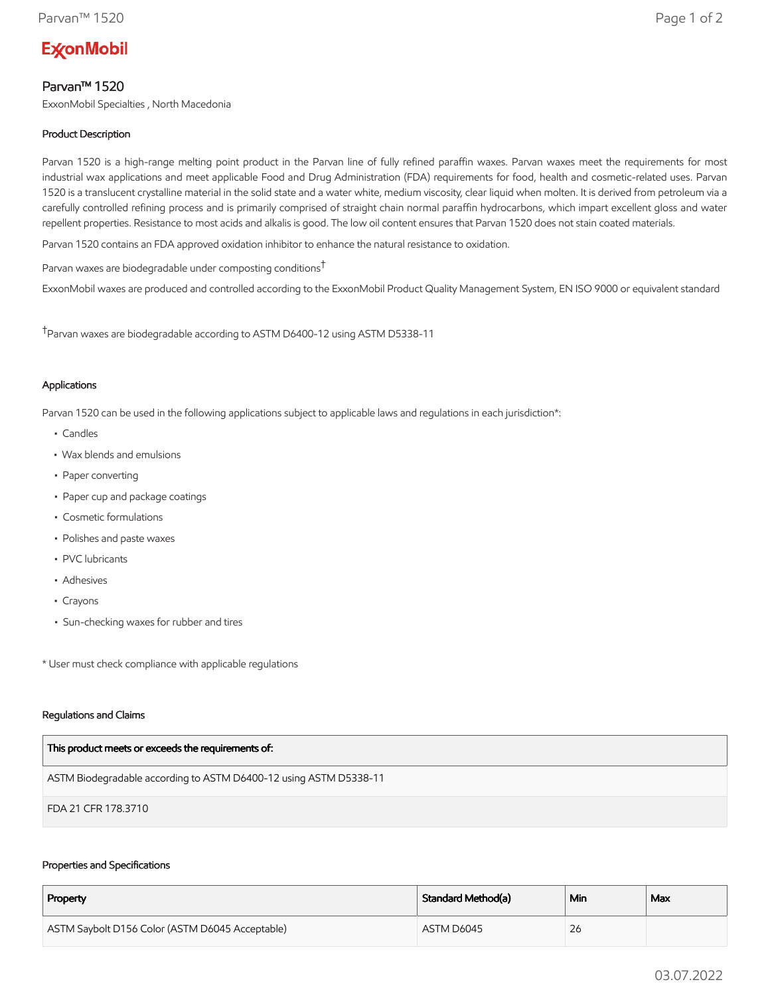# **ExconMobil**

# Parvan™ 1520

ExxonMobil Specialties , North Macedonia

## Product Description

Parvan 1520 is a high-range melting point product in the Parvan line of fully refined paraffin waxes. Parvan waxes meet the requirements for most industrial wax applications and meet applicable Food and Drug Administration (FDA) requirements for food, health and cosmetic-related uses. Parvan 1520 is a translucent crystalline material in the solid state and a water white, medium viscosity, clear liquid when molten. It is derived from petroleum via a carefully controlled refining process and is primarily comprised of straight chain normal paraffin hydrocarbons, which impart excellent gloss and water repellent properties. Resistance to most acids and alkalis is good. The low oil content ensures that Parvan 1520 does not stain coated materials.

Parvan 1520 contains an FDA approved oxidation inhibitor to enhance the natural resistance to oxidation.

Parvan waxes are biodegradable under composting conditions†

ExxonMobil waxes are produced and controlled according to the ExxonMobil Product Quality Management System, EN ISO 9000 or equivalent standard

†Parvan waxes are biodegradable according to ASTM D6400-12 using ASTM D5338-11

### Applications

Parvan 1520 can be used in the following applications subject to applicable laws and regulations in each jurisdiction\*:

- Candles
- Wax blends and emulsions
- Paper converting
- Paper cup and package coatings
- Cosmetic formulations
- Polishes and paste waxes
- PVC lubricants
- Adhesives
- Crayons
- Sun-checking waxes for rubber and tires

\* User must check compliance with applicable regulations

#### Regulations and Claims

| This product meets or exceeds the requirements of:                |
|-------------------------------------------------------------------|
| ASTM Biodegradable according to ASTM D6400-12 using ASTM D5338-11 |
| FDA 21 CFR 178.3710                                               |

#### Properties and Specifications

| Property                                        | Standard Method(a) | Min | Max |
|-------------------------------------------------|--------------------|-----|-----|
| ASTM Saybolt D156 Color (ASTM D6045 Acceptable) | ASTM D6045         | 26  |     |